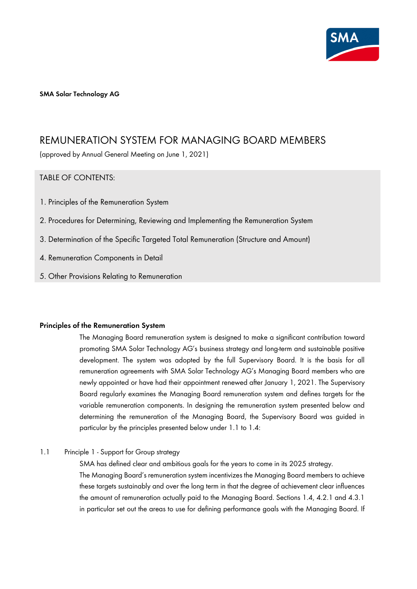

**SMA Solar Technology AG** 

# REMUNERATION SYSTEM FOR MANAGING BOARD MEMBERS

(approved by Annual General Meeting on June 1, 2021)

# TABLE OF CONTENTS:

- 1. Principles of the Remuneration System
- 2. Procedures for Determining, Reviewing and Implementing the Remuneration System
- 3. Determination of the Specific Targeted Total Remuneration (Structure and Amount)
- 4. Remuneration Components in Detail
- 5. Other Provisions Relating to Remuneration

### **Principles of the Remuneration System**

The Managing Board remuneration system is designed to make a significant contribution toward promoting SMA Solar Technology AG's business strategy and long-term and sustainable positive development. The system was adopted by the full Supervisory Board. It is the basis for all remuneration agreements with SMA Solar Technology AG's Managing Board members who are newly appointed or have had their appointment renewed after January 1, 2021. The Supervisory Board regularly examines the Managing Board remuneration system and defines targets for the variable remuneration components. In designing the remuneration system presented below and determining the remuneration of the Managing Board, the Supervisory Board was guided in particular by the principles presented below under 1.1 to 1.4:

1.1 Principle 1 - Support for Group strategy

SMA has defined clear and ambitious goals for the years to come in its 2025 strategy. The Managing Board's remuneration system incentivizes the Managing Board members to achieve these targets sustainably and over the long term in that the degree of achievement clear influences the amount of remuneration actually paid to the Managing Board. Sections 1.4, 4.2.1 and 4.3.1 in particular set out the areas to use for defining performance goals with the Managing Board. If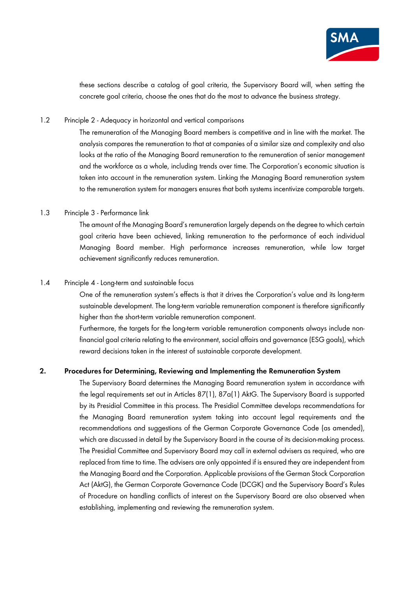

these sections describe a catalog of goal criteria, the Supervisory Board will, when setting the concrete goal criteria, choose the ones that do the most to advance the business strategy.

### 1.2 Principle 2 - Adequacy in horizontal and vertical comparisons

The remuneration of the Managing Board members is competitive and in line with the market. The analysis compares the remuneration to that at companies of a similar size and complexity and also looks at the ratio of the Managing Board remuneration to the remuneration of senior management and the workforce as a whole, including trends over time. The Corporation's economic situation is taken into account in the remuneration system. Linking the Managing Board remuneration system to the remuneration system for managers ensures that both systems incentivize comparable targets.

### 1.3 Principle 3 - Performance link

The amount of the Managing Board's remuneration largely depends on the degree to which certain goal criteria have been achieved, linking remuneration to the performance of each individual Managing Board member. High performance increases remuneration, while low target achievement significantly reduces remuneration.

#### 1.4 Principle 4 - Long-term and sustainable focus

One of the remuneration system's effects is that it drives the Corporation's value and its long-term sustainable development. The long-term variable remuneration component is therefore significantly higher than the short-term variable remuneration component.

Furthermore, the targets for the long-term variable remuneration components always include nonfinancial goal criteria relating to the environment, social affairs and governance (ESG goals), which reward decisions taken in the interest of sustainable corporate development.

### **2. Procedures for Determining, Reviewing and Implementing the Remuneration System**

The Supervisory Board determines the Managing Board remuneration system in accordance with the legal requirements set out in Articles 87(1), 87a(1) AktG. The Supervisory Board is supported by its Presidial Committee in this process. The Presidial Committee develops recommendations for the Managing Board remuneration system taking into account legal requirements and the recommendations and suggestions of the German Corporate Governance Code (as amended), which are discussed in detail by the Supervisory Board in the course of its decision-making process. The Presidial Committee and Supervisory Board may call in external advisers as required, who are replaced from time to time. The advisers are only appointed if is ensured they are independent from the Managing Board and the Corporation. Applicable provisions of the German Stock Corporation Act (AktG), the German Corporate Governance Code (DCGK) and the Supervisory Board's Rules of Procedure on handling conflicts of interest on the Supervisory Board are also observed when establishing, implementing and reviewing the remuneration system.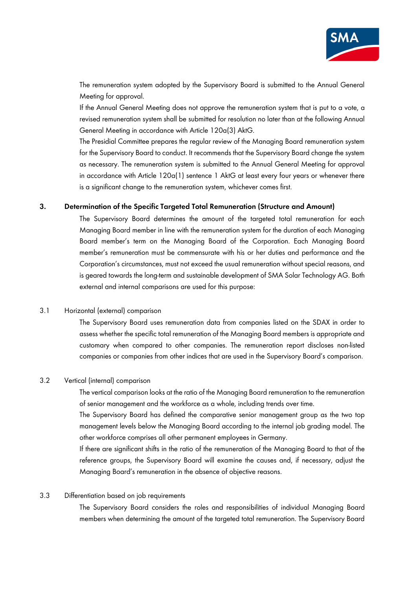

The remuneration system adopted by the Supervisory Board is submitted to the Annual General Meeting for approval.

If the Annual General Meeting does not approve the remuneration system that is put to a vote, a revised remuneration system shall be submitted for resolution no later than at the following Annual General Meeting in accordance with Article 120a(3) AktG.

The Presidial Committee prepares the regular review of the Managing Board remuneration system for the Supervisory Board to conduct. It recommends that the Supervisory Board change the system as necessary. The remuneration system is submitted to the Annual General Meeting for approval in accordance with Article 120a(1) sentence 1 AktG at least every four years or whenever there is a significant change to the remuneration system, whichever comes first.

### **3. Determination of the Specific Targeted Total Remuneration (Structure and Amount)**

The Supervisory Board determines the amount of the targeted total remuneration for each Managing Board member in line with the remuneration system for the duration of each Managing Board member's term on the Managing Board of the Corporation. Each Managing Board member's remuneration must be commensurate with his or her duties and performance and the Corporation's circumstances, must not exceed the usual remuneration without special reasons, and is geared towards the long-term and sustainable development of SMA Solar Technology AG. Both external and internal comparisons are used for this purpose:

## 3.1 Horizontal (external) comparison

The Supervisory Board uses remuneration data from companies listed on the SDAX in order to assess whether the specific total remuneration of the Managing Board members is appropriate and customary when compared to other companies. The remuneration report discloses non-listed companies or companies from other indices that are used in the Supervisory Board's comparison.

#### 3.2 Vertical (internal) comparison

The vertical comparison looks at the ratio of the Managing Board remuneration to the remuneration of senior management and the workforce as a whole, including trends over time.

The Supervisory Board has defined the comparative senior management group as the two top management levels below the Managing Board according to the internal job grading model. The other workforce comprises all other permanent employees in Germany.

If there are significant shifts in the ratio of the remuneration of the Managing Board to that of the reference groups, the Supervisory Board will examine the causes and, if necessary, adjust the Managing Board's remuneration in the absence of objective reasons.

### 3.3 Differentiation based on job requirements

The Supervisory Board considers the roles and responsibilities of individual Managing Board members when determining the amount of the targeted total remuneration. The Supervisory Board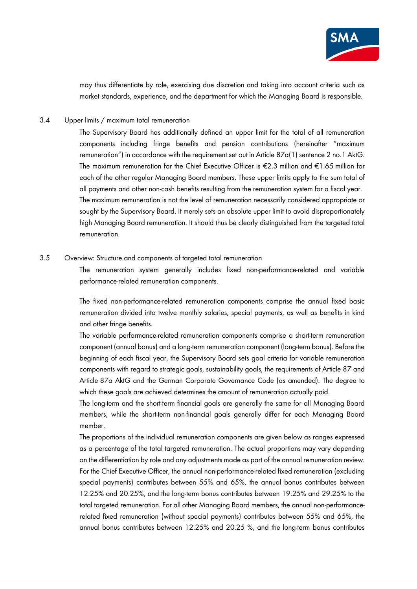

may thus differentiate by role, exercising due discretion and taking into account criteria such as market standards, experience, and the department for which the Managing Board is responsible.

### 3.4 Upper limits / maximum total remuneration

The Supervisory Board has additionally defined an upper limit for the total of all remuneration components including fringe benefits and pension contributions (hereinafter "maximum remuneration") in accordance with the requirement set out in Article  $87a(1)$  sentence 2 no. 1 AktG. The maximum remuneration for the Chief Executive Officer is €2.3 million and €1.65 million for each of the other regular Managing Board members. These upper limits apply to the sum total of all payments and other non-cash benefits resulting from the remuneration system for a fiscal year. The maximum remuneration is not the level of remuneration necessarily considered appropriate or sought by the Supervisory Board. It merely sets an absolute upper limit to avoid disproportionately high Managing Board remuneration. It should thus be clearly distinguished from the targeted total remuneration.

### 3.5 Overview: Structure and components of targeted total remuneration

The remuneration system generally includes fixed non-performance-related and variable performance-related remuneration components.

The fixed non-performance-related remuneration components comprise the annual fixed basic remuneration divided into twelve monthly salaries, special payments, as well as benefits in kind and other fringe benefits.

The variable performance-related remuneration components comprise a short-term remuneration component (annual bonus) and a long-term remuneration component (long-term bonus). Before the beginning of each fiscal year, the Supervisory Board sets goal criteria for variable remuneration components with regard to strategic goals, sustainability goals, the requirements of Article 87 and Article 87a AktG and the German Corporate Governance Code (as amended). The degree to which these goals are achieved determines the amount of remuneration actually paid.

The long-term and the short-term financial goals are generally the same for all Managing Board members, while the short-term non-financial goals generally differ for each Managing Board member.

The proportions of the individual remuneration components are given below as ranges expressed as a percentage of the total targeted remuneration. The actual proportions may vary depending on the differentiation by role and any adjustments made as part of the annual remuneration review. For the Chief Executive Officer, the annual non-performance-related fixed remuneration (excluding special payments) contributes between 55% and 65%, the annual bonus contributes between 12.25% and 20.25%, and the long-term bonus contributes between 19.25% and 29.25% to the total targeted remuneration. For all other Managing Board members, the annual non-performancerelated fixed remuneration (without special payments) contributes between 55% and 65%, the annual bonus contributes between 12.25% and 20.25 %, and the long-term bonus contributes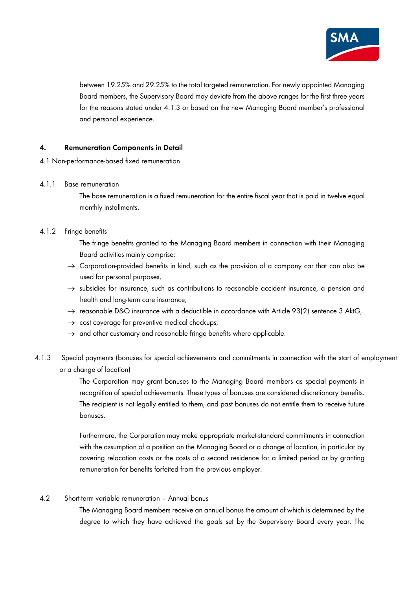

between 19.25% and 29.25% to the total targeted remuneration. For newly appointed Managing Board members, the Supervisory Board may deviate from the above ranges for the first three years for the reasons stated under 4.1.3 or based on the new Managing Board member's professional and personal experience.

# **4. Remuneration Components in Detail**

- 4.1 Non-performance-based fixed remuneration
- 4.1.1 Base remuneration

The base remuneration is a fixed remuneration for the entire fiscal year that is paid in twelve equal monthly installments.

## 4.1.2 Fringe benefits

The fringe benefits granted to the Managing Board members in connection with their Managing Board activities mainly comprise:

- $\rightarrow$  Corporation-provided benefits in kind, such as the provision of a company car that can also be used for personal purposes,
- $\rightarrow$  subsidies for insurance, such as contributions to reasonable accident insurance, a pension and health and long-term care insurance,
- $\rightarrow$  reasonable D&O insurance with a deductible in accordance with Article 93(2) sentence 3 AktG,
- $\rightarrow$  cost coverage for preventive medical checkups,
- $\rightarrow$  and other customary and reasonable fringe benefits where applicable.
- 4.1.3 Special payments (bonuses for special achievements and commitments in connection with the start of employment or a change of location)

The Corporation may grant bonuses to the Managing Board members as special payments in recognition of special achievements. These types of bonuses are considered discretionary benefits. The recipient is not legally entitled to them, and past bonuses do not entitle them to receive future bonuses.

Furthermore, the Corporation may make appropriate market-standard commitments in connection with the assumption of a position on the Managing Board or a change of location, in particular by covering relocation costs or the costs of a second residence for a limited period or by granting remuneration for benefits forfeited from the previous employer.

### 4.2 Short-term variable remuneration – Annual bonus

The Managing Board members receive an annual bonus the amount of which is determined by the degree to which they have achieved the goals set by the Supervisory Board every year. The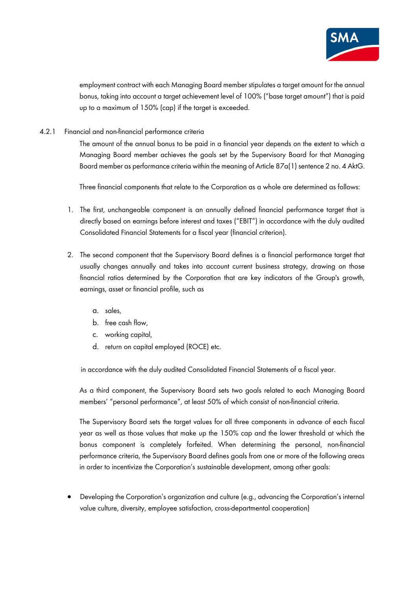

employment contract with each Managing Board member stipulates a target amount for the annual bonus, taking into account a target achievement level of 100% ("base target amount") that is paid up to a maximum of 150% (cap) if the target is exceeded.

4.2.1 Financial and non-financial performance criteria

The amount of the annual bonus to be paid in a financial year depends on the extent to which a Managing Board member achieves the goals set by the Supervisory Board for that Managing Board member as performance criteria within the meaning of Article 87a(1) sentence 2 no. 4 AktG.

Three financial components that relate to the Corporation as a whole are determined as follows:

- 1. The first, unchangeable component is an annually defined financial performance target that is directly based on earnings before interest and taxes ("EBIT") in accordance with the duly audited Consolidated Financial Statements for a fiscal year (financial criterion).
- 2. The second component that the Supervisory Board defines is a financial performance target that usually changes annually and takes into account current business strategy, drawing on those financial ratios determined by the Corporation that are key indicators of the Group's growth, earnings, asset or financial profile, such as
	- a. sales,
	- b. free cash flow,
	- c. working capital,
	- d. return on capital employed (ROCE) etc.

in accordance with the duly audited Consolidated Financial Statements of a fiscal year.

As a third component, the Supervisory Board sets two goals related to each Managing Board members' "personal performance", at least 50% of which consist of non-financial criteria.

The Supervisory Board sets the target values for all three components in advance of each fiscal year as well as those values that make up the 150% cap and the lower threshold at which the bonus component is completely forfeited. When determining the personal, non-financial performance criteria, the Supervisory Board defines goals from one or more of the following areas in order to incentivize the Corporation's sustainable development, among other goals:

• Developing the Corporation's organization and culture (e.g., advancing the Corporation's internal value culture, diversity, employee satisfaction, cross-departmental cooperation)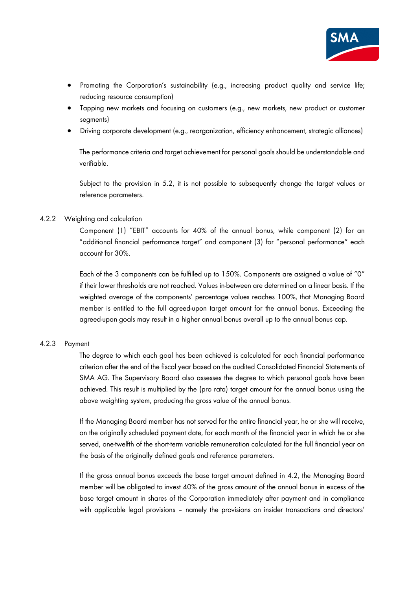

- Promoting the Corporation's sustainability (e.g., increasing product quality and service life; reducing resource consumption)
- Tapping new markets and focusing on customers (e.g., new markets, new product or customer seaments)
- Driving corporate development (e.g., reorganization, efficiency enhancement, strategic alliances)

The performance criteria and target achievement for personal goals should be understandable and verifiable.

Subject to the provision in 5.2, it is not possible to subsequently change the target values or reference parameters.

### 4.2.2 Weighting and calculation

Component (1) "EBIT" accounts for 40% of the annual bonus, while component (2) for an "additional financial performance target" and component (3) for "personal performance" each account for 30%.

Each of the 3 components can be fulfilled up to 150%. Components are assigned a value of "0" if their lower thresholds are not reached. Values in-between are determined on a linear basis. If the weighted average of the components' percentage values reaches 100%, that Managing Board member is entitled to the full agreed-upon target amount for the annual bonus. Exceeding the agreed-upon goals may result in a higher annual bonus overall up to the annual bonus cap.

### 4.2.3 Payment

The degree to which each goal has been achieved is calculated for each financial performance criterion after the end of the fiscal year based on the audited Consolidated Financial Statements of SMA AG. The Supervisory Board also assesses the degree to which personal goals have been achieved. This result is multiplied by the (pro rata) target amount for the annual bonus using the above weighting system, producing the gross value of the annual bonus.

If the Managing Board member has not served for the entire financial year, he or she will receive, on the originally scheduled payment date, for each month of the financial year in which he or she served, one-twelfth of the short-term variable remuneration calculated for the full financial year on the basis of the originally defined goals and reference parameters.

If the gross annual bonus exceeds the base target amount defined in 4.2, the Managing Board member will be obligated to invest 40% of the gross amount of the annual bonus in excess of the base target amount in shares of the Corporation immediately after payment and in compliance with applicable legal provisions – namely the provisions on insider transactions and directors'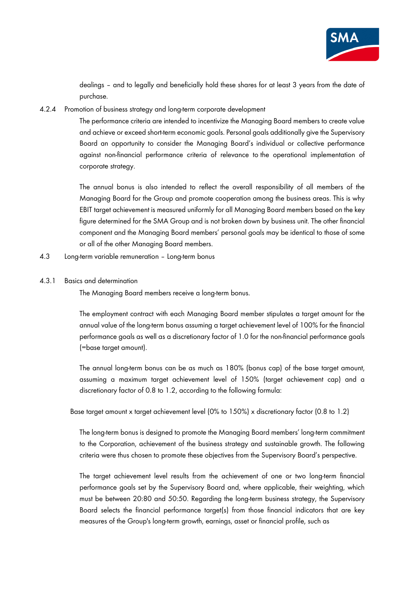

dealings – and to legally and beneficially hold these shares for at least 3 years from the date of purchase.

4.2.4 Promotion of business strategy and long-term corporate development

The performance criteria are intended to incentivize the Managing Board members to create value and achieve or exceed short-term economic goals. Personal goals additionally give the Supervisory Board an opportunity to consider the Managing Board's individual or collective performance against non-financial performance criteria of relevance to the operational implementation of corporate strategy.

The annual bonus is also intended to reflect the overall responsibility of all members of the Managing Board for the Group and promote cooperation among the business areas. This is why EBIT target achievement is measured uniformly for all Managing Board members based on the key figure determined for the SMA Group and is not broken down by business unit. The other financial component and the Managing Board members' personal goals may be identical to those of some or all of the other Managing Board members.

- 4.3 Long-term variable remuneration Long-term bonus
- 4.3.1 Basics and determination

The Managing Board members receive a long-term bonus.

The employment contract with each Managing Board member stipulates a target amount for the annual value of the long-term bonus assuming a target achievement level of 100% for the financial performance goals as well as a discretionary factor of 1.0 for the non-financial performance goals (=base target amount).

The annual long-term bonus can be as much as 180% (bonus cap) of the base target amount, assuming a maximum target achievement level of 150% (target achievement cap) and a discretionary factor of 0.8 to 1.2, according to the following formula:

Base target amount x target achievement level (0% to 150%) x discretionary factor (0.8 to 1.2)

The long-term bonus is designed to promote the Managing Board members' long-term commitment to the Corporation, achievement of the business strategy and sustainable growth. The following criteria were thus chosen to promote these objectives from the Supervisory Board's perspective.

The target achievement level results from the achievement of one or two long-term financial performance goals set by the Supervisory Board and, where applicable, their weighting, which must be between 20:80 and 50:50. Regarding the long-term business strategy, the Supervisory Board selects the financial performance target(s) from those financial indicators that are key measures of the Group's long-term growth, earnings, asset or financial profile, such as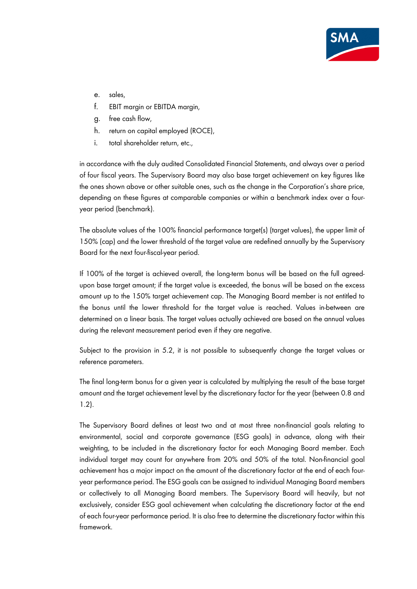

- e. sales,
- f. EBIT margin or EBITDA margin,
- g. free cash flow,
- h. return on capital employed (ROCE),
- i. total shareholder return, etc.,

in accordance with the duly audited Consolidated Financial Statements, and always over a period of four fiscal years. The Supervisory Board may also base target achievement on key figures like the ones shown above or other suitable ones, such as the change in the Corporation's share price, depending on these figures at comparable companies or within a benchmark index over a fouryear period (benchmark).

The absolute values of the 100% financial performance target(s) (target values), the upper limit of 150% (cap) and the lower threshold of the target value are redefined annually by the Supervisory Board for the next four-fiscal-year period.

If 100% of the target is achieved overall, the long-term bonus will be based on the full agreedupon base target amount; if the target value is exceeded, the bonus will be based on the excess amount up to the 150% target achievement cap. The Managing Board member is not entitled to the bonus until the lower threshold for the target value is reached. Values in-between are determined on a linear basis. The target values actually achieved are based on the annual values during the relevant measurement period even if they are negative.

Subject to the provision in 5.2, it is not possible to subsequently change the target values or reference parameters.

The final long-term bonus for a given year is calculated by multiplying the result of the base target amount and the target achievement level by the discretionary factor for the year (between 0.8 and 1.2).

The Supervisory Board defines at least two and at most three non-financial goals relating to environmental, social and corporate governance (ESG goals) in advance, along with their weighting, to be included in the discretionary factor for each Managing Board member. Each individual target may count for anywhere from 20% and 50% of the total. Non-financial goal achievement has a major impact on the amount of the discretionary factor at the end of each fouryear performance period. The ESG goals can be assigned to individual Managing Board members or collectively to all Managing Board members. The Supervisory Board will heavily, but not exclusively, consider ESG goal achievement when calculating the discretionary factor at the end of each four-year performance period. It is also free to determine the discretionary factor within this framework.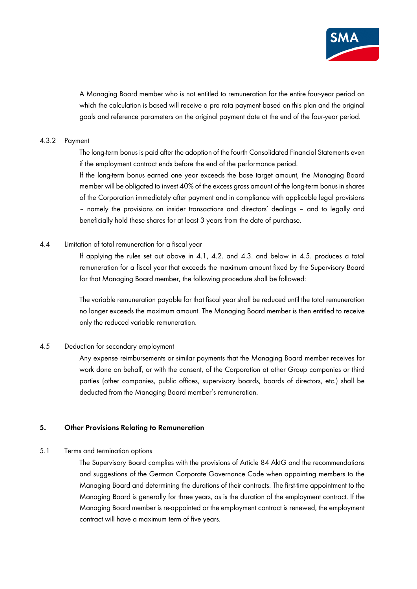

A Managing Board member who is not entitled to remuneration for the entire four-year period on which the calculation is based will receive a pro rata payment based on this plan and the original goals and reference parameters on the original payment date at the end of the four-year period.

### 4.3.2 Payment

The long-term bonus is paid after the adoption of the fourth Consolidated Financial Statements even if the employment contract ends before the end of the performance period.

If the long-term bonus earned one year exceeds the base target amount, the Managing Board member will be obligated to invest 40% of the excess gross amount of the long-term bonus in shares of the Corporation immediately after payment and in compliance with applicable legal provisions – namely the provisions on insider transactions and directors' dealings – and to legally and beneficially hold these shares for at least 3 years from the date of purchase.

### 4.4 Limitation of total remuneration for a fiscal year

If applying the rules set out above in 4.1, 4.2. and 4.3. and below in 4.5. produces a total remuneration for a fiscal year that exceeds the maximum amount fixed by the Supervisory Board for that Managing Board member, the following procedure shall be followed:

The variable remuneration payable for that fiscal year shall be reduced until the total remuneration no longer exceeds the maximum amount. The Managing Board member is then entitled to receive only the reduced variable remuneration.

### 4.5 Deduction for secondary employment

Any expense reimbursements or similar payments that the Managing Board member receives for work done on behalf, or with the consent, of the Corporation at other Group companies or third parties (other companies, public offices, supervisory boards, boards of directors, etc.) shall be deducted from the Managing Board member's remuneration.

## **5. Other Provisions Relating to Remuneration**

### 5.1 Terms and termination options

The Supervisory Board complies with the provisions of Article 84 AktG and the recommendations and suggestions of the German Corporate Governance Code when appointing members to the Managing Board and determining the durations of their contracts. The first-time appointment to the Managing Board is generally for three years, as is the duration of the employment contract. If the Managing Board member is re-appointed or the employment contract is renewed, the employment contract will have a maximum term of five years.